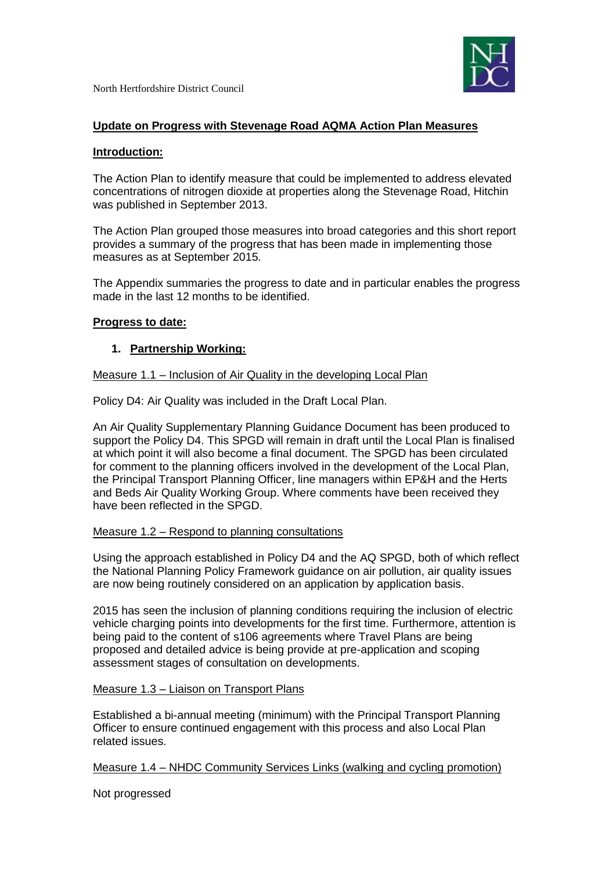

## **Update on Progress with Stevenage Road AQMA Action Plan Measures**

#### **Introduction:**

The Action Plan to identify measure that could be implemented to address elevated concentrations of nitrogen dioxide at properties along the Stevenage Road, Hitchin was published in September 2013.

The Action Plan grouped those measures into broad categories and this short report provides a summary of the progress that has been made in implementing those measures as at September 2015.

The Appendix summaries the progress to date and in particular enables the progress made in the last 12 months to be identified.

### **Progress to date:**

### **1. Partnership Working:**

#### Measure 1.1 – Inclusion of Air Quality in the developing Local Plan

Policy D4: Air Quality was included in the Draft Local Plan.

An Air Quality Supplementary Planning Guidance Document has been produced to support the Policy D4. This SPGD will remain in draft until the Local Plan is finalised at which point it will also become a final document. The SPGD has been circulated for comment to the planning officers involved in the development of the Local Plan, the Principal Transport Planning Officer, line managers within EP&H and the Herts and Beds Air Quality Working Group. Where comments have been received they have been reflected in the SPGD.

#### Measure 1.2 – Respond to planning consultations

Using the approach established in Policy D4 and the AQ SPGD, both of which reflect the National Planning Policy Framework guidance on air pollution, air quality issues are now being routinely considered on an application by application basis.

2015 has seen the inclusion of planning conditions requiring the inclusion of electric vehicle charging points into developments for the first time. Furthermore, attention is being paid to the content of s106 agreements where Travel Plans are being proposed and detailed advice is being provide at pre-application and scoping assessment stages of consultation on developments.

#### Measure 1.3 – Liaison on Transport Plans

Established a bi-annual meeting (minimum) with the Principal Transport Planning Officer to ensure continued engagement with this process and also Local Plan related issues.

Measure 1.4 – NHDC Community Services Links (walking and cycling promotion)

Not progressed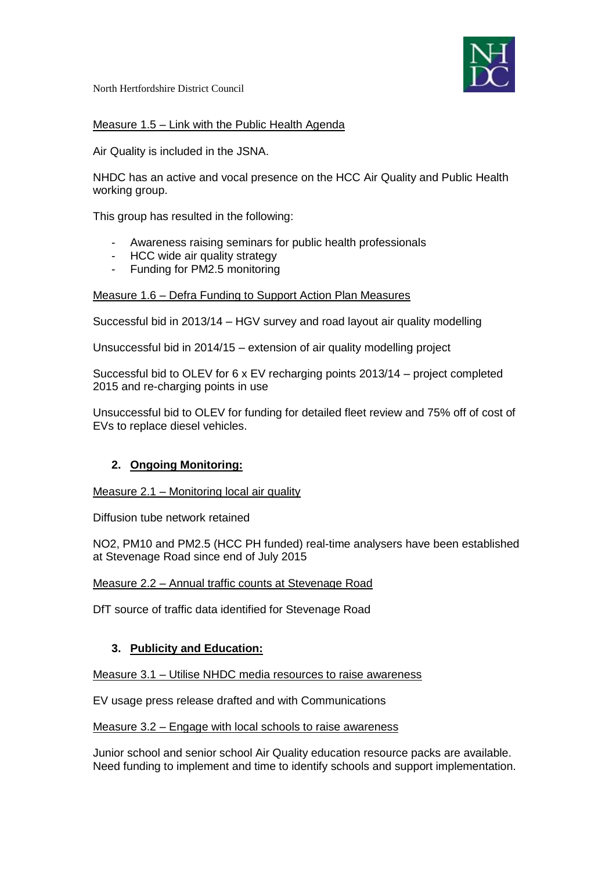

# Measure 1.5 – Link with the Public Health Agenda

Air Quality is included in the JSNA.

NHDC has an active and vocal presence on the HCC Air Quality and Public Health working group.

This group has resulted in the following:

- Awareness raising seminars for public health professionals
- HCC wide air quality strategy
- Funding for PM2.5 monitoring

## Measure 1.6 – Defra Funding to Support Action Plan Measures

Successful bid in 2013/14 – HGV survey and road layout air quality modelling

Unsuccessful bid in 2014/15 – extension of air quality modelling project

Successful bid to OLEV for 6 x EV recharging points 2013/14 – project completed 2015 and re-charging points in use

Unsuccessful bid to OLEV for funding for detailed fleet review and 75% off of cost of EVs to replace diesel vehicles.

# **2. Ongoing Monitoring:**

Measure 2.1 – Monitoring local air quality

Diffusion tube network retained

NO2, PM10 and PM2.5 (HCC PH funded) real-time analysers have been established at Stevenage Road since end of July 2015

Measure 2.2 – Annual traffic counts at Stevenage Road

DfT source of traffic data identified for Stevenage Road

# **3. Publicity and Education:**

Measure 3.1 – Utilise NHDC media resources to raise awareness

EV usage press release drafted and with Communications

### Measure 3.2 – Engage with local schools to raise awareness

Junior school and senior school Air Quality education resource packs are available. Need funding to implement and time to identify schools and support implementation.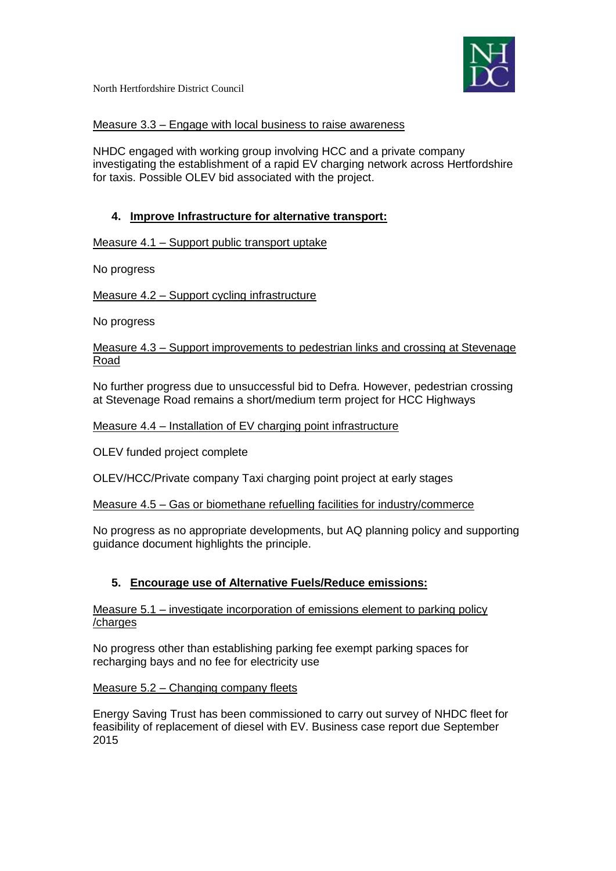

## Measure 3.3 – Engage with local business to raise awareness

NHDC engaged with working group involving HCC and a private company investigating the establishment of a rapid EV charging network across Hertfordshire for taxis. Possible OLEV bid associated with the project.

# **4. Improve Infrastructure for alternative transport:**

Measure 4.1 – Support public transport uptake

No progress

Measure 4.2 – Support cycling infrastructure

No progress

Measure 4.3 – Support improvements to pedestrian links and crossing at Stevenage Road

No further progress due to unsuccessful bid to Defra. However, pedestrian crossing at Stevenage Road remains a short/medium term project for HCC Highways

## Measure 4.4 – Installation of EV charging point infrastructure

OLEV funded project complete

OLEV/HCC/Private company Taxi charging point project at early stages

Measure 4.5 – Gas or biomethane refuelling facilities for industry/commerce

No progress as no appropriate developments, but AQ planning policy and supporting guidance document highlights the principle.

# **5. Encourage use of Alternative Fuels/Reduce emissions:**

Measure 5.1 – investigate incorporation of emissions element to parking policy /charges

No progress other than establishing parking fee exempt parking spaces for recharging bays and no fee for electricity use

Measure 5.2 – Changing company fleets

Energy Saving Trust has been commissioned to carry out survey of NHDC fleet for feasibility of replacement of diesel with EV. Business case report due September 2015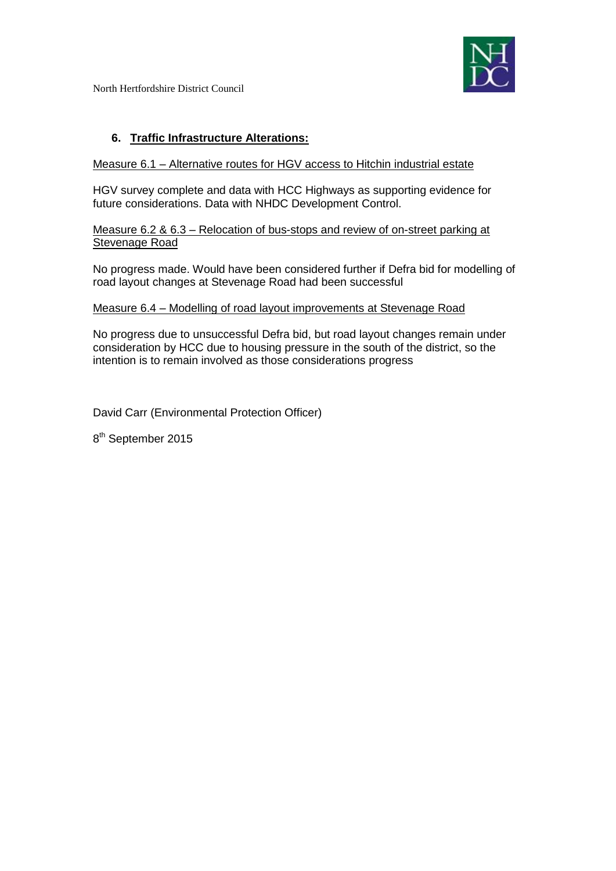

# **6. Traffic Infrastructure Alterations:**

#### Measure 6.1 – Alternative routes for HGV access to Hitchin industrial estate

HGV survey complete and data with HCC Highways as supporting evidence for future considerations. Data with NHDC Development Control.

Measure 6.2 & 6.3 – Relocation of bus-stops and review of on-street parking at Stevenage Road

No progress made. Would have been considered further if Defra bid for modelling of road layout changes at Stevenage Road had been successful

#### Measure 6.4 – Modelling of road layout improvements at Stevenage Road

No progress due to unsuccessful Defra bid, but road layout changes remain under consideration by HCC due to housing pressure in the south of the district, so the intention is to remain involved as those considerations progress

David Carr (Environmental Protection Officer)

8<sup>th</sup> September 2015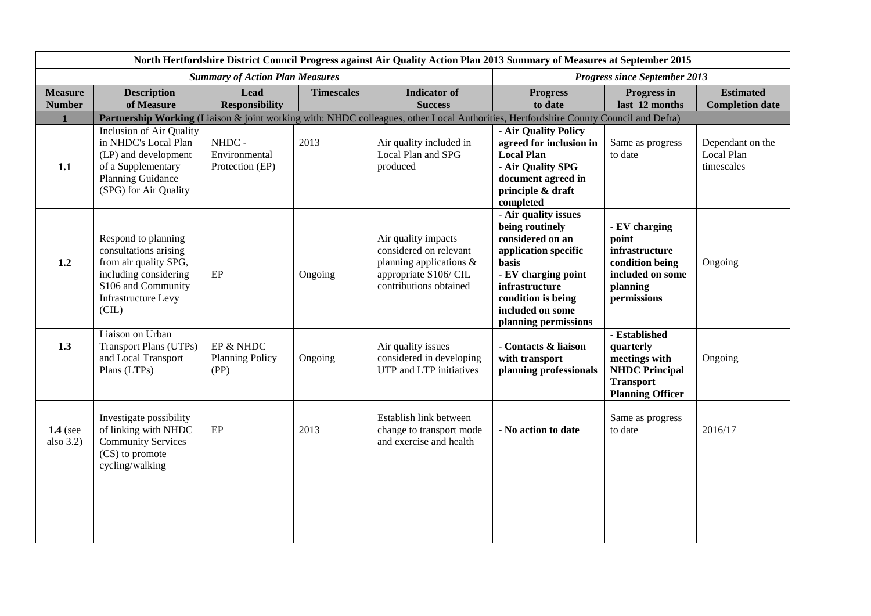| North Hertfordshire District Council Progress against Air Quality Action Plan 2013 Summary of Measures at September 2015 |                                                                                                                                                            |                                             |                                      |                                                                                                                                      |                                                                                                                                                                                                         |                                                                                                                     |                                              |  |
|--------------------------------------------------------------------------------------------------------------------------|------------------------------------------------------------------------------------------------------------------------------------------------------------|---------------------------------------------|--------------------------------------|--------------------------------------------------------------------------------------------------------------------------------------|---------------------------------------------------------------------------------------------------------------------------------------------------------------------------------------------------------|---------------------------------------------------------------------------------------------------------------------|----------------------------------------------|--|
|                                                                                                                          |                                                                                                                                                            | <b>Summary of Action Plan Measures</b>      | <b>Progress since September 2013</b> |                                                                                                                                      |                                                                                                                                                                                                         |                                                                                                                     |                                              |  |
| <b>Measure</b>                                                                                                           | <b>Description</b>                                                                                                                                         | <b>Lead</b>                                 | <b>Timescales</b>                    | <b>Indicator</b> of                                                                                                                  | <b>Progress</b>                                                                                                                                                                                         | Progress in                                                                                                         | <b>Estimated</b>                             |  |
| <b>Number</b>                                                                                                            | of Measure                                                                                                                                                 | <b>Responsibility</b>                       |                                      | <b>Success</b>                                                                                                                       | to date                                                                                                                                                                                                 | last 12 months                                                                                                      | <b>Completion date</b>                       |  |
|                                                                                                                          |                                                                                                                                                            |                                             |                                      | Partnership Working (Liaison & joint working with: NHDC colleagues, other Local Authorities, Hertfordshire County Council and Defra) |                                                                                                                                                                                                         |                                                                                                                     |                                              |  |
| 1.1                                                                                                                      | Inclusion of Air Quality<br>in NHDC's Local Plan<br>(LP) and development<br>of a Supplementary<br><b>Planning Guidance</b><br>(SPG) for Air Quality        | NHDC -<br>Environmental<br>Protection (EP)  | 2013                                 | Air quality included in<br>Local Plan and SPG<br>produced                                                                            | - Air Quality Policy<br>agreed for inclusion in<br><b>Local Plan</b><br>- Air Quality SPG<br>document agreed in<br>principle & draft<br>completed                                                       | Same as progress<br>to date                                                                                         | Dependant on the<br>Local Plan<br>timescales |  |
| 1.2                                                                                                                      | Respond to planning<br>consultations arising<br>from air quality SPG,<br>including considering<br>S106 and Community<br><b>Infrastructure Levy</b><br>(CL) | EP                                          | Ongoing                              | Air quality impacts<br>considered on relevant<br>planning applications &<br>appropriate S106/CIL<br>contributions obtained           | - Air quality issues<br>being routinely<br>considered on an<br>application specific<br>basis<br>- EV charging point<br>infrastructure<br>condition is being<br>included on some<br>planning permissions | - EV charging<br>point<br>infrastructure<br>condition being<br>included on some<br>planning<br>permissions          | Ongoing                                      |  |
| 1.3                                                                                                                      | Liaison on Urban<br><b>Transport Plans (UTPs)</b><br>and Local Transport<br>Plans (LTPs)                                                                   | EP & NHDC<br><b>Planning Policy</b><br>(PP) | Ongoing                              | Air quality issues<br>considered in developing<br>UTP and LTP initiatives                                                            | - Contacts & liaison<br>with transport<br>planning professionals                                                                                                                                        | - Established<br>quarterly<br>meetings with<br><b>NHDC Principal</b><br><b>Transport</b><br><b>Planning Officer</b> | Ongoing                                      |  |
| $1.4$ (see<br>also $3.2$ )                                                                                               | Investigate possibility<br>of linking with NHDC<br><b>Community Services</b><br>(CS) to promote<br>cycling/walking                                         | $\rm EP$                                    | 2013                                 | Establish link between<br>change to transport mode<br>and exercise and health                                                        | - No action to date                                                                                                                                                                                     | Same as progress<br>to date                                                                                         | 2016/17                                      |  |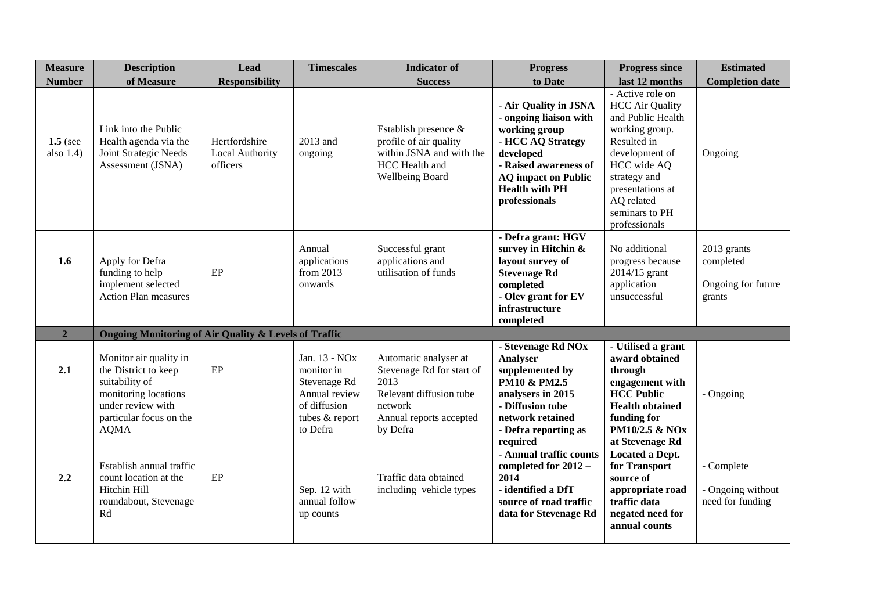| <b>Measure</b>             | <b>Description</b>                                                                                                                                      | <b>Lead</b>                                  | <b>Timescales</b>                                                                                                      | <b>Indicator</b> of                                                                                                                     | <b>Progress</b>                                                                                                                                                                                     | <b>Progress since</b>                                                                                                                                                                                                  | <b>Estimated</b>                                         |
|----------------------------|---------------------------------------------------------------------------------------------------------------------------------------------------------|----------------------------------------------|------------------------------------------------------------------------------------------------------------------------|-----------------------------------------------------------------------------------------------------------------------------------------|-----------------------------------------------------------------------------------------------------------------------------------------------------------------------------------------------------|------------------------------------------------------------------------------------------------------------------------------------------------------------------------------------------------------------------------|----------------------------------------------------------|
| <b>Number</b>              | of Measure                                                                                                                                              | <b>Responsibility</b>                        |                                                                                                                        | <b>Success</b>                                                                                                                          | to Date                                                                                                                                                                                             | last 12 months                                                                                                                                                                                                         | <b>Completion date</b>                                   |
| $1.5$ (see<br>also $1.4$ ) | Link into the Public<br>Health agenda via the<br>Joint Strategic Needs<br>Assessment (JSNA)                                                             | Hertfordshire<br>Local Authority<br>officers | 2013 and<br>ongoing                                                                                                    | Establish presence &<br>profile of air quality<br>within JSNA and with the<br>HCC Health and<br>Wellbeing Board                         | - Air Quality in JSNA<br>- ongoing liaison with<br>working group<br>- HCC AQ Strategy<br>developed<br>- Raised awareness of<br><b>AQ</b> impact on Public<br><b>Health with PH</b><br>professionals | - Active role on<br><b>HCC Air Quality</b><br>and Public Health<br>working group.<br>Resulted in<br>development of<br>HCC wide AQ<br>strategy and<br>presentations at<br>AQ related<br>seminars to PH<br>professionals | Ongoing                                                  |
| 1.6                        | Apply for Defra<br>funding to help<br>implement selected<br><b>Action Plan measures</b>                                                                 | EP                                           | Annual<br>applications<br>from 2013<br>onwards                                                                         | Successful grant<br>applications and<br>utilisation of funds                                                                            | - Defra grant: HGV<br>survey in Hitchin &<br>layout survey of<br><b>Stevenage Rd</b><br>completed<br>- Olev grant for EV<br>infrastructure<br>completed                                             | No additional<br>progress because<br>2014/15 grant<br>application<br>unsuccessful                                                                                                                                      | 2013 grants<br>completed<br>Ongoing for future<br>grants |
| $\overline{2}$             | <b>Ongoing Monitoring of Air Quality &amp; Levels of Traffic</b>                                                                                        |                                              |                                                                                                                        |                                                                                                                                         |                                                                                                                                                                                                     |                                                                                                                                                                                                                        |                                                          |
| 2.1                        | Monitor air quality in<br>the District to keep<br>suitability of<br>monitoring locations<br>under review with<br>particular focus on the<br><b>AQMA</b> | $\rm EP$                                     | Jan. 13 - NO <sub>x</sub><br>monitor in<br>Stevenage Rd<br>Annual review<br>of diffusion<br>tubes & report<br>to Defra | Automatic analyser at<br>Stevenage Rd for start of<br>2013<br>Relevant diffusion tube<br>network<br>Annual reports accepted<br>by Defra | - Stevenage Rd NOx<br>Analyser<br>supplemented by<br><b>PM10 &amp; PM2.5</b><br>analysers in 2015<br>- Diffusion tube<br>network retained<br>- Defra reporting as<br>required                       | - Utilised a grant<br>award obtained<br>through<br>engagement with<br><b>HCC Public</b><br><b>Health obtained</b><br>funding for<br>PM10/2.5 & NO <sub>x</sub><br>at Stevenage Rd                                      | - Ongoing                                                |
| 2.2                        | Establish annual traffic<br>count location at the<br>Hitchin Hill<br>roundabout, Stevenage<br>Rd                                                        | $\rm EP$                                     | Sep. 12 with<br>annual follow<br>up counts                                                                             | Traffic data obtained<br>including vehicle types                                                                                        | - Annual traffic counts<br>completed for 2012 -<br>2014<br>- identified a DfT<br>source of road traffic<br>data for Stevenage Rd                                                                    | Located a Dept.<br>for Transport<br>source of<br>appropriate road<br>traffic data<br>negated need for<br>annual counts                                                                                                 | - Complete<br>- Ongoing without<br>need for funding      |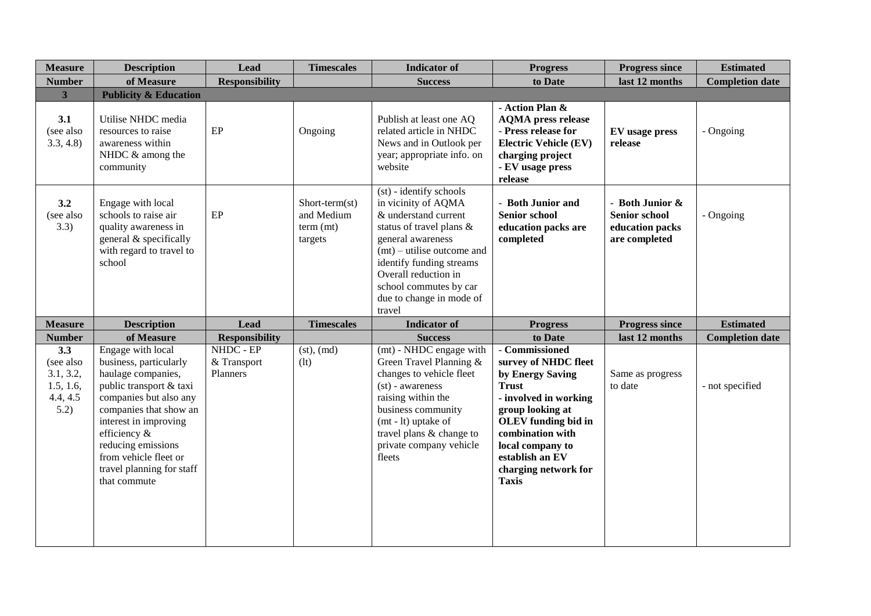| <b>Measure</b>                                                 | <b>Description</b>                                                                                                                                                                                                                                                                    | <b>Lead</b>                          | <b>Timescales</b>                                    | <b>Indicator</b> of                                                                                                                                                                                                                                                         | <b>Progress</b>                                                                                                                                                                                                                                          | <b>Progress since</b>                                                       | <b>Estimated</b>       |
|----------------------------------------------------------------|---------------------------------------------------------------------------------------------------------------------------------------------------------------------------------------------------------------------------------------------------------------------------------------|--------------------------------------|------------------------------------------------------|-----------------------------------------------------------------------------------------------------------------------------------------------------------------------------------------------------------------------------------------------------------------------------|----------------------------------------------------------------------------------------------------------------------------------------------------------------------------------------------------------------------------------------------------------|-----------------------------------------------------------------------------|------------------------|
| <b>Number</b>                                                  | of Measure                                                                                                                                                                                                                                                                            | <b>Responsibility</b>                |                                                      | <b>Success</b>                                                                                                                                                                                                                                                              | to Date                                                                                                                                                                                                                                                  | last 12 months                                                              | <b>Completion date</b> |
| 3                                                              | <b>Publicity &amp; Education</b>                                                                                                                                                                                                                                                      |                                      |                                                      |                                                                                                                                                                                                                                                                             |                                                                                                                                                                                                                                                          |                                                                             |                        |
| 3.1<br>(see also<br>3.3, 4.8                                   | Utilise NHDC media<br>resources to raise<br>awareness within<br>NHDC & among the<br>community                                                                                                                                                                                         | EP                                   | Ongoing                                              | Publish at least one AQ<br>related article in NHDC<br>News and in Outlook per<br>year; appropriate info. on<br>website                                                                                                                                                      | - Action Plan &<br><b>AQMA</b> press release<br>- Press release for<br><b>Electric Vehicle (EV)</b><br>charging project<br>- EV usage press<br>release                                                                                                   | EV usage press<br>release                                                   | - Ongoing              |
| 3.2<br>(see also<br>3.3)                                       | Engage with local<br>schools to raise air<br>quality awareness in<br>general & specifically<br>with regard to travel to<br>school                                                                                                                                                     | EP                                   | Short-term(st)<br>and Medium<br>term (mt)<br>targets | (st) - identify schools<br>in vicinity of AQMA<br>& understand current<br>status of travel plans &<br>general awareness<br>$(mt)$ – utilise outcome and<br>identify funding streams<br>Overall reduction in<br>school commutes by car<br>due to change in mode of<br>travel | - Both Junior and<br><b>Senior school</b><br>education packs are<br>completed                                                                                                                                                                            | - Both Junior &<br><b>Senior school</b><br>education packs<br>are completed | - Ongoing              |
| <b>Measure</b>                                                 | <b>Description</b>                                                                                                                                                                                                                                                                    | Lead                                 | <b>Timescales</b>                                    | <b>Indicator of</b>                                                                                                                                                                                                                                                         | <b>Progress</b>                                                                                                                                                                                                                                          | <b>Progress since</b>                                                       | <b>Estimated</b>       |
| <b>Number</b>                                                  | of Measure                                                                                                                                                                                                                                                                            | <b>Responsibility</b>                |                                                      | <b>Success</b>                                                                                                                                                                                                                                                              | to Date                                                                                                                                                                                                                                                  | last 12 months                                                              | <b>Completion date</b> |
| 3.3<br>(see also<br>3.1, 3.2,<br>1.5, 1.6,<br>4.4, 4.5<br>5.2) | Engage with local<br>business, particularly<br>haulage companies,<br>public transport & taxi<br>companies but also any<br>companies that show an<br>interest in improving<br>efficiency &<br>reducing emissions<br>from vehicle fleet or<br>travel planning for staff<br>that commute | NHDC - EP<br>& Transport<br>Planners | (st), (md)<br>(lt)                                   | (mt) - NHDC engage with<br>Green Travel Planning &<br>changes to vehicle fleet<br>$(st)$ - awareness<br>raising within the<br>business community<br>(mt - lt) uptake of<br>travel plans & change to<br>private company vehicle<br>fleets                                    | - Commissioned<br>survey of NHDC fleet<br>by Energy Saving<br><b>Trust</b><br>- involved in working<br>group looking at<br><b>OLEV</b> funding bid in<br>combination with<br>local company to<br>establish an EV<br>charging network for<br><b>Taxis</b> | Same as progress<br>to date                                                 | - not specified        |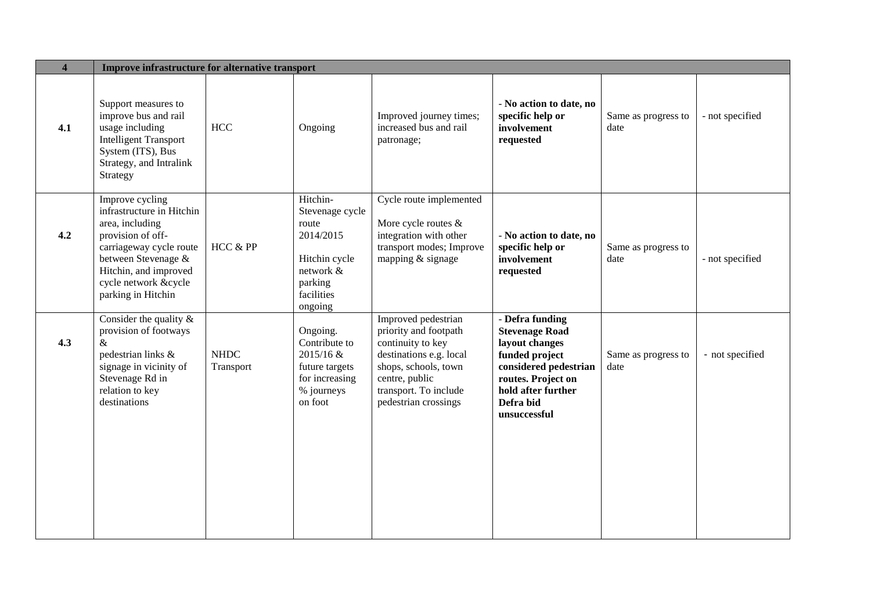| $\overline{\mathbf{4}}$ | Improve infrastructure for alternative transport                                                                                                                                                              |                          |                                                                                                                     |                                                                                                                                                                                         |                                                                                                                                                                                |                             |                 |  |
|-------------------------|---------------------------------------------------------------------------------------------------------------------------------------------------------------------------------------------------------------|--------------------------|---------------------------------------------------------------------------------------------------------------------|-----------------------------------------------------------------------------------------------------------------------------------------------------------------------------------------|--------------------------------------------------------------------------------------------------------------------------------------------------------------------------------|-----------------------------|-----------------|--|
| 4.1                     | Support measures to<br>improve bus and rail<br>usage including<br><b>Intelligent Transport</b><br>System (ITS), Bus<br>Strategy, and Intralink<br>Strategy                                                    | HCC                      | Ongoing                                                                                                             | Improved journey times;<br>increased bus and rail<br>patronage;                                                                                                                         | - No action to date, no<br>specific help or<br>involvement<br>requested                                                                                                        | Same as progress to<br>date | - not specified |  |
| 4.2                     | Improve cycling<br>infrastructure in Hitchin<br>area, including<br>provision of off-<br>carriageway cycle route<br>between Stevenage &<br>Hitchin, and improved<br>cycle network &cycle<br>parking in Hitchin | HCC & PP                 | Hitchin-<br>Stevenage cycle<br>route<br>2014/2015<br>Hitchin cycle<br>network &<br>parking<br>facilities<br>ongoing | Cycle route implemented<br>More cycle routes &<br>integration with other<br>transport modes; Improve<br>mapping & signage                                                               | - No action to date, no<br>specific help or<br>involvement<br>requested                                                                                                        | Same as progress to<br>date | - not specified |  |
| 4.3                     | Consider the quality $\&$<br>provision of footways<br>$\&$<br>pedestrian links &<br>signage in vicinity of<br>Stevenage Rd in<br>relation to key<br>destinations                                              | <b>NHDC</b><br>Transport | Ongoing.<br>Contribute to<br>2015/16 &<br>future targets<br>for increasing<br>% journeys<br>on foot                 | Improved pedestrian<br>priority and footpath<br>continuity to key<br>destinations e.g. local<br>shops, schools, town<br>centre, public<br>transport. To include<br>pedestrian crossings | - Defra funding<br><b>Stevenage Road</b><br>layout changes<br>funded project<br>considered pedestrian<br>routes. Project on<br>hold after further<br>Defra bid<br>unsuccessful | Same as progress to<br>date | - not specified |  |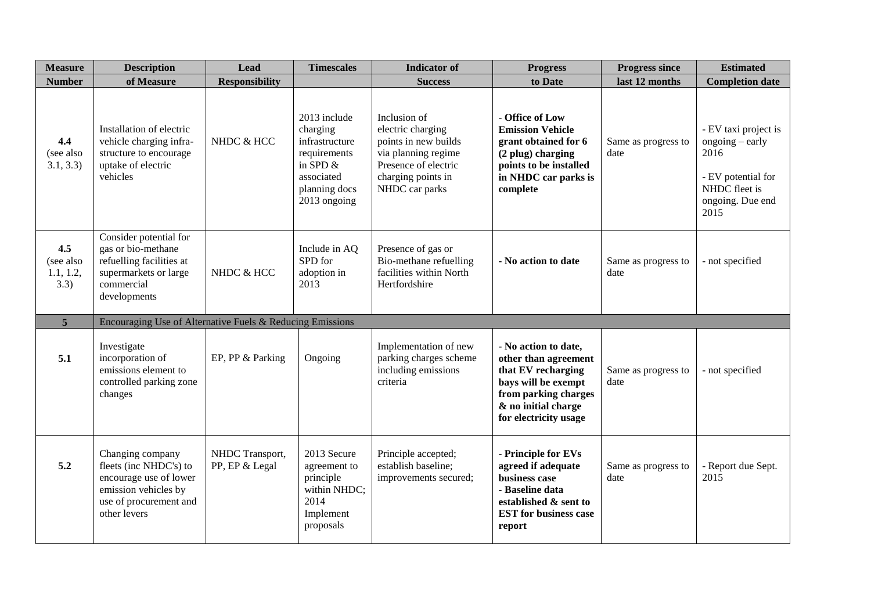| <b>Measure</b>                        | <b>Description</b>                                                                                                                     | Lead                              | <b>Timescales</b>                                                                                                       | <b>Indicator</b> of                                                                                                                              | <b>Progress</b>                                                                                                                                                   | <b>Progress since</b>       | <b>Estimated</b>                                                                                                   |
|---------------------------------------|----------------------------------------------------------------------------------------------------------------------------------------|-----------------------------------|-------------------------------------------------------------------------------------------------------------------------|--------------------------------------------------------------------------------------------------------------------------------------------------|-------------------------------------------------------------------------------------------------------------------------------------------------------------------|-----------------------------|--------------------------------------------------------------------------------------------------------------------|
| <b>Number</b>                         | of Measure                                                                                                                             | <b>Responsibility</b>             |                                                                                                                         | <b>Success</b>                                                                                                                                   | to Date                                                                                                                                                           | last 12 months              | <b>Completion date</b>                                                                                             |
| 4.4<br>(see also<br>3.1, 3.3)         | Installation of electric<br>vehicle charging infra-<br>structure to encourage<br>uptake of electric<br>vehicles                        | NHDC & HCC                        | 2013 include<br>charging<br>infrastructure<br>requirements<br>in SPD $&$<br>associated<br>planning docs<br>2013 ongoing | Inclusion of<br>electric charging<br>points in new builds<br>via planning regime<br>Presence of electric<br>charging points in<br>NHDC car parks | - Office of Low<br><b>Emission Vehicle</b><br>grant obtained for 6<br>(2 plug) charging<br>points to be installed<br>in NHDC car parks is<br>complete             | Same as progress to<br>date | - EV taxi project is<br>ongoing – early<br>2016<br>- EV potential for<br>NHDC fleet is<br>ongoing. Due end<br>2015 |
| 4.5<br>(see also<br>1.1, 1.2,<br>3.3) | Consider potential for<br>gas or bio-methane<br>refuelling facilities at<br>supermarkets or large<br>commercial<br>developments        | NHDC & HCC                        | Include in AQ<br>SPD for<br>adoption in<br>2013                                                                         | Presence of gas or<br>Bio-methane refuelling<br>facilities within North<br>Hertfordshire                                                         | - No action to date                                                                                                                                               | Same as progress to<br>date | - not specified                                                                                                    |
| 5 <sup>5</sup>                        | Encouraging Use of Alternative Fuels & Reducing Emissions                                                                              |                                   |                                                                                                                         |                                                                                                                                                  |                                                                                                                                                                   |                             |                                                                                                                    |
| 5.1                                   | Investigate<br>incorporation of<br>emissions element to<br>controlled parking zone<br>changes                                          | EP, PP & Parking                  | Ongoing                                                                                                                 | Implementation of new<br>parking charges scheme<br>including emissions<br>criteria                                                               | - No action to date,<br>other than agreement<br>that EV recharging<br>bays will be exempt<br>from parking charges<br>& no initial charge<br>for electricity usage | Same as progress to<br>date | - not specified                                                                                                    |
| 5.2                                   | Changing company<br>fleets (inc NHDC's) to<br>encourage use of lower<br>emission vehicles by<br>use of procurement and<br>other levers | NHDC Transport,<br>PP, EP & Legal | 2013 Secure<br>agreement to<br>principle<br>within NHDC;<br>2014<br>Implement<br>proposals                              | Principle accepted;<br>establish baseline;<br>improvements secured;                                                                              | - Principle for EVs<br>agreed if adequate<br>business case<br>- Baseline data<br>established & sent to<br><b>EST</b> for business case<br>report                  | Same as progress to<br>date | - Report due Sept.<br>2015                                                                                         |